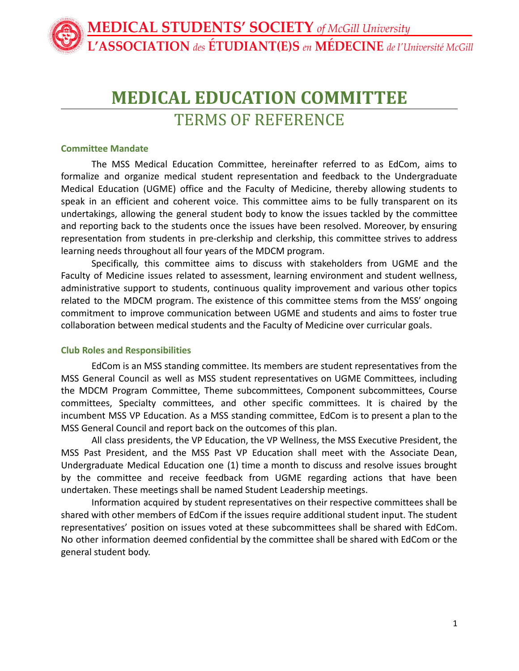# **MEDICAL EDUCATION COMMITTEE**

TERMS OF REFERENCE

#### **Committee Mandate**

The MSS Medical Education Committee, hereinafter referred to as EdCom, aims to formalize and organize medical student representation and feedback to the Undergraduate Medical Education (UGME) office and the Faculty of Medicine, thereby allowing students to speak in an efficient and coherent voice. This committee aims to be fully transparent on its undertakings, allowing the general student body to know the issues tackled by the committee and reporting back to the students once the issues have been resolved. Moreover, by ensuring representation from students in pre-clerkship and clerkship, this committee strives to address learning needs throughout all four years of the MDCM program.

Specifically, this committee aims to discuss with stakeholders from UGME and the Faculty of Medicine issues related to assessment, learning environment and student wellness, administrative support to students, continuous quality improvement and various other topics related to the MDCM program. The existence of this committee stems from the MSS' ongoing commitment to improve communication between UGME and students and aims to foster true collaboration between medical students and the Faculty of Medicine over curricular goals.

## **Club Roles and Responsibilities**

EdCom is an MSS standing committee. Its members are student representatives from the MSS General Council as well as MSS student representatives on UGME Committees, including the MDCM Program Committee, Theme subcommittees, Component subcommittees, Course committees, Specialty committees, and other specific committees. It is chaired by the incumbent MSS VP Education. As a MSS standing committee, EdCom is to present a plan to the MSS General Council and report back on the outcomes of this plan.

All class presidents, the VP Education, the VP Wellness, the MSS Executive President, the MSS Past President, and the MSS Past VP Education shall meet with the Associate Dean, Undergraduate Medical Education one (1) time a month to discuss and resolve issues brought by the committee and receive feedback from UGME regarding actions that have been undertaken. These meetings shall be named Student Leadership meetings.

Information acquired by student representatives on their respective committees shall be shared with other members of EdCom if the issues require additional student input. The student representatives' position on issues voted at these subcommittees shall be shared with EdCom. No other information deemed confidential by the committee shall be shared with EdCom or the general student body.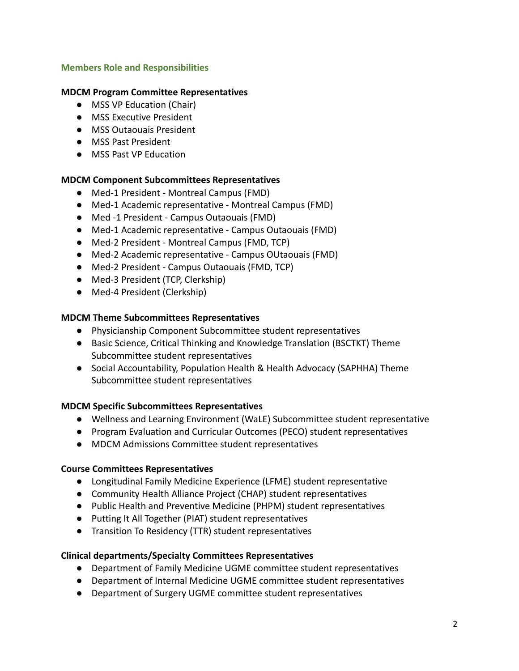# **Members Role and Responsibilities**

## **MDCM Program Committee Representatives**

- MSS VP Education (Chair)
- MSS Executive President
- MSS Outaouais President
- MSS Past President
- MSS Past VP Education

## **MDCM Component Subcommittees Representatives**

- Med-1 President Montreal Campus (FMD)
- Med-1 Academic representative Montreal Campus (FMD)
- Med -1 President Campus Outaouais (FMD)
- Med-1 Academic representative Campus Outaouais (FMD)
- Med-2 President Montreal Campus (FMD, TCP)
- Med-2 Academic representative Campus OUtaouais (FMD)
- Med-2 President Campus Outaouais (FMD, TCP)
- Med-3 President (TCP, Clerkship)
- Med-4 President (Clerkship)

#### **MDCM Theme Subcommittees Representatives**

- Physicianship Component Subcommittee student representatives
- Basic Science, Critical Thinking and Knowledge Translation (BSCTKT) Theme Subcommittee student representatives
- Social Accountability, Population Health & Health Advocacy (SAPHHA) Theme Subcommittee student representatives

## **MDCM Specific Subcommittees Representatives**

- Wellness and Learning Environment (WaLE) Subcommittee student representative
- Program Evaluation and Curricular Outcomes (PECO) student representatives
- MDCM Admissions Committee student representatives

#### **Course Committees Representatives**

- Longitudinal Family Medicine Experience (LFME) student representative
- Community Health Alliance Project (CHAP) student representatives
- Public Health and Preventive Medicine (PHPM) student representatives
- Putting It All Together (PIAT) student representatives
- Transition To Residency (TTR) student representatives

#### **Clinical departments/Specialty Committees Representatives**

- Department of Family Medicine UGME committee student representatives
- Department of Internal Medicine UGME committee student representatives
- Department of Surgery UGME committee student representatives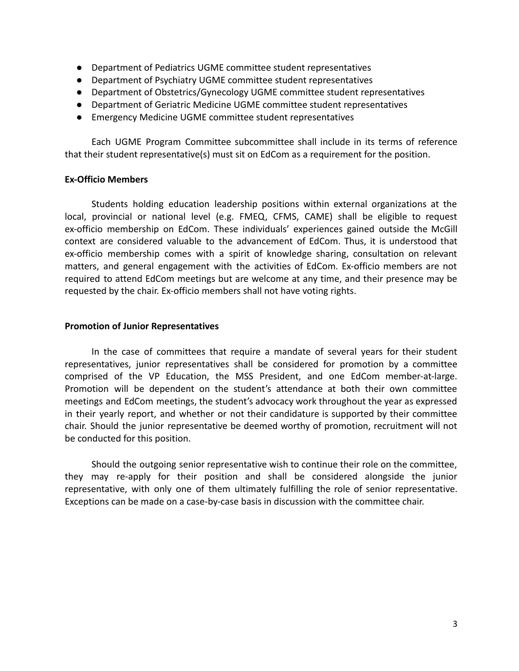- Department of Pediatrics UGME committee student representatives
- Department of Psychiatry UGME committee student representatives
- Department of Obstetrics/Gynecology UGME committee student representatives
- Department of Geriatric Medicine UGME committee student representatives
- Emergency Medicine UGME committee student representatives

Each UGME Program Committee subcommittee shall include in its terms of reference that their student representative(s) must sit on EdCom as a requirement for the position.

## **Ex-Officio Members**

Students holding education leadership positions within external organizations at the local, provincial or national level (e.g. FMEQ, CFMS, CAME) shall be eligible to request ex-officio membership on EdCom. These individuals' experiences gained outside the McGill context are considered valuable to the advancement of EdCom. Thus, it is understood that ex-officio membership comes with a spirit of knowledge sharing, consultation on relevant matters, and general engagement with the activities of EdCom. Ex-officio members are not required to attend EdCom meetings but are welcome at any time, and their presence may be requested by the chair. Ex-officio members shall not have voting rights.

#### **Promotion of Junior Representatives**

In the case of committees that require a mandate of several years for their student representatives, junior representatives shall be considered for promotion by a committee comprised of the VP Education, the MSS President, and one EdCom member-at-large. Promotion will be dependent on the student's attendance at both their own committee meetings and EdCom meetings, the student's advocacy work throughout the year as expressed in their yearly report, and whether or not their candidature is supported by their committee chair. Should the junior representative be deemed worthy of promotion, recruitment will not be conducted for this position.

Should the outgoing senior representative wish to continue their role on the committee, they may re-apply for their position and shall be considered alongside the junior representative, with only one of them ultimately fulfilling the role of senior representative. Exceptions can be made on a case-by-case basis in discussion with the committee chair.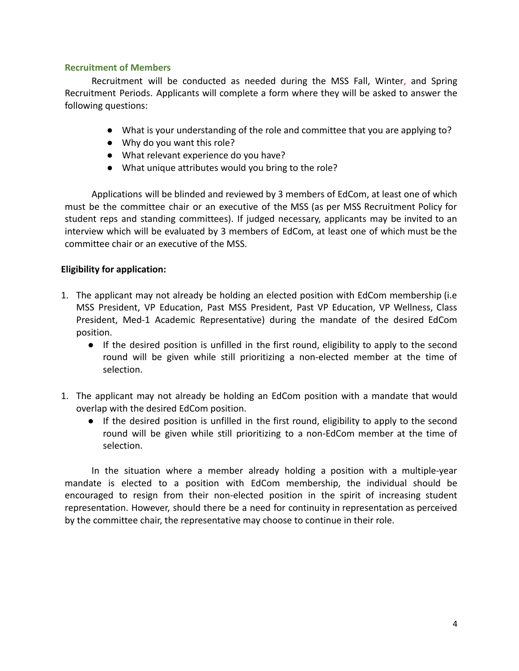## **Recruitment of Members**

Recruitment will be conducted as needed during the MSS Fall, Winter, and Spring Recruitment Periods. Applicants will complete a form where they will be asked to answer the following questions:

- What is your understanding of the role and committee that you are applying to?
- Why do you want this role?
- What relevant experience do you have?
- What unique attributes would you bring to the role?

Applications will be blinded and reviewed by 3 members of EdCom, at least one of which must be the committee chair or an executive of the MSS (as per MSS Recruitment Policy for student reps and standing committees). If judged necessary, applicants may be invited to an interview which will be evaluated by 3 members of EdCom, at least one of which must be the committee chair or an executive of the MSS.

# **Eligibility for application:**

- 1. The applicant may not already be holding an elected position with EdCom membership (i.e MSS President, VP Education, Past MSS President, Past VP Education, VP Wellness, Class President, Med-1 Academic Representative) during the mandate of the desired EdCom position.
	- If the desired position is unfilled in the first round, eligibility to apply to the second round will be given while still prioritizing a non-elected member at the time of selection.
- 1. The applicant may not already be holding an EdCom position with a mandate that would overlap with the desired EdCom position.
	- If the desired position is unfilled in the first round, eligibility to apply to the second round will be given while still prioritizing to a non-EdCom member at the time of selection.

In the situation where a member already holding a position with a multiple-year mandate is elected to a position with EdCom membership, the individual should be encouraged to resign from their non-elected position in the spirit of increasing student representation. However, should there be a need for continuity in representation as perceived by the committee chair, the representative may choose to continue in their role.